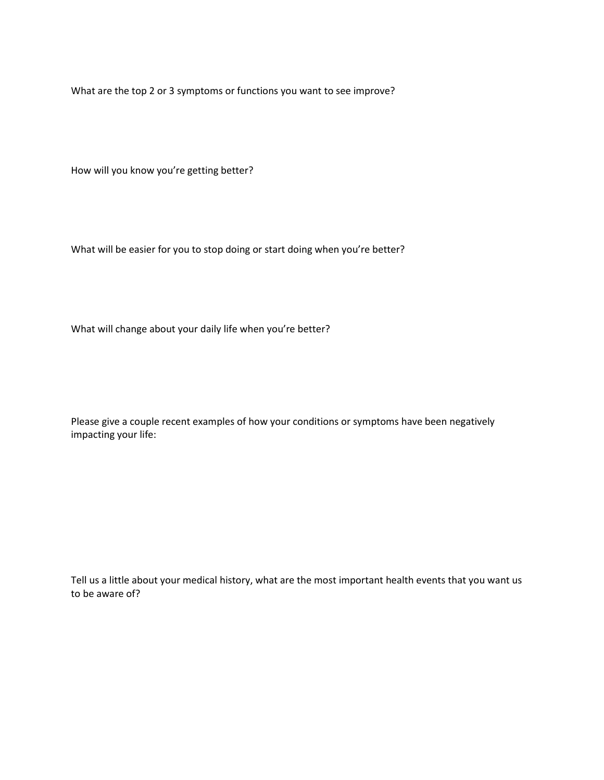What are the top 2 or 3 symptoms or functions you want to see improve?

How will you know you're getting better?

What will be easier for you to stop doing or start doing when you're better?

What will change about your daily life when you're better?

Please give a couple recent examples of how your conditions or symptoms have been negatively impacting your life:

Tell us a little about your medical history, what are the most important health events that you want us to be aware of?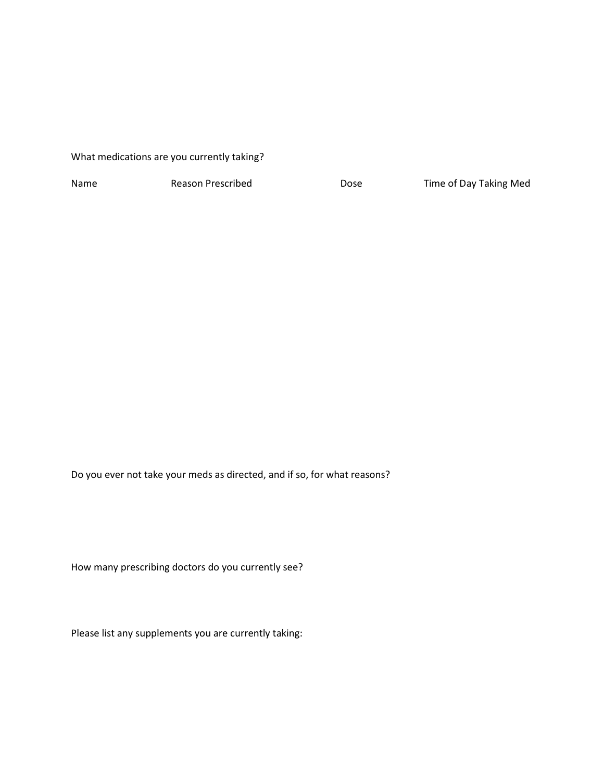## What medications are you currently taking?

Name Reason Prescribed Dose Time of Day Taking Med

Do you ever not take your meds as directed, and if so, for what reasons?

How many prescribing doctors do you currently see?

Please list any supplements you are currently taking: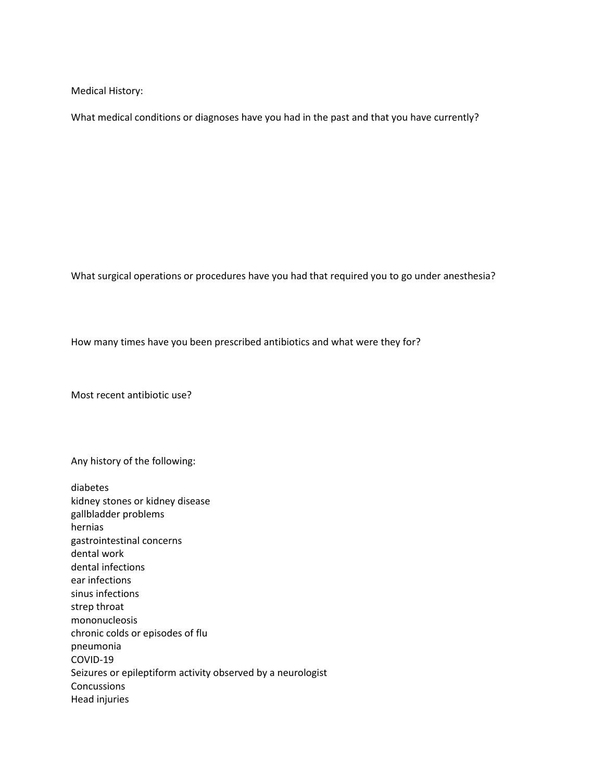Medical History:

What medical conditions or diagnoses have you had in the past and that you have currently?

What surgical operations or procedures have you had that required you to go under anesthesia?

How many times have you been prescribed antibiotics and what were they for?

Most recent antibiotic use?

Any history of the following:

diabetes kidney stones or kidney disease gallbladder problems hernias gastrointestinal concerns dental work dental infections ear infections sinus infections strep throat mononucleosis chronic colds or episodes of flu pneumonia COVID-19 Seizures or epileptiform activity observed by a neurologist Concussions Head injuries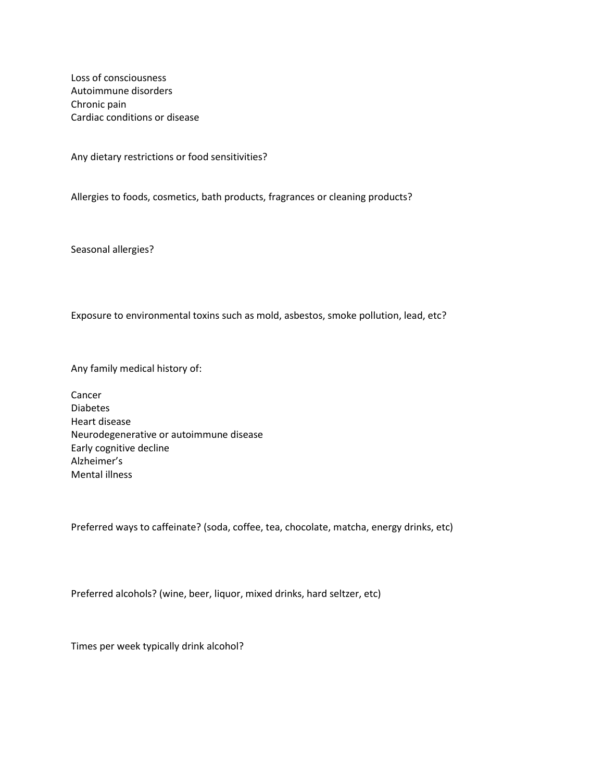Loss of consciousness Autoimmune disorders Chronic pain Cardiac conditions or disease

Any dietary restrictions or food sensitivities?

Allergies to foods, cosmetics, bath products, fragrances or cleaning products?

Seasonal allergies?

Exposure to environmental toxins such as mold, asbestos, smoke pollution, lead, etc?

Any family medical history of:

Cancer Diabetes Heart disease Neurodegenerative or autoimmune disease Early cognitive decline Alzheimer's Mental illness

Preferred ways to caffeinate? (soda, coffee, tea, chocolate, matcha, energy drinks, etc)

Preferred alcohols? (wine, beer, liquor, mixed drinks, hard seltzer, etc)

Times per week typically drink alcohol?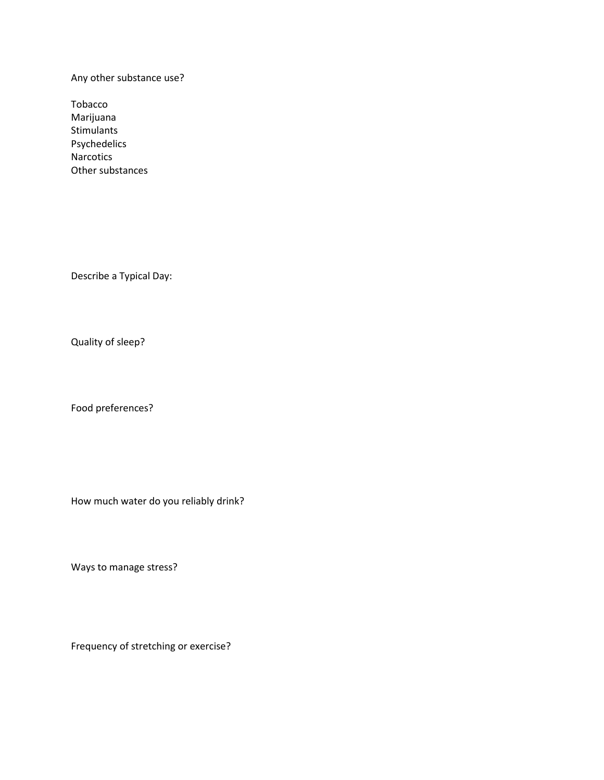Any other substance use?

Tobacco Marijuana Stimulants Psychedelics Narcotics Other substances

Describe a Typical Day:

Quality of sleep?

Food preferences?

How much water do you reliably drink?

Ways to manage stress?

Frequency of stretching or exercise?